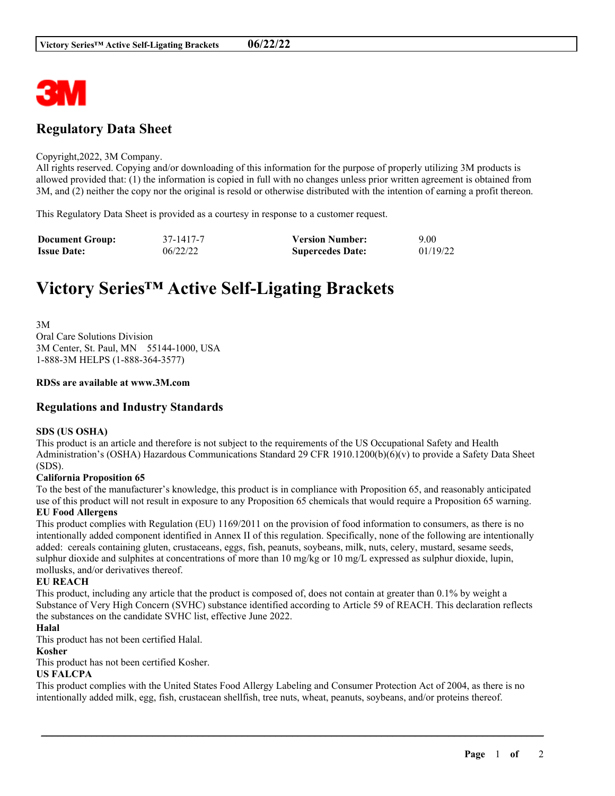

# **Regulatory Data Sheet**

#### Copyright,2022, 3M Company.

All rights reserved. Copying and/or downloading of this information for the purpose of properly utilizing 3M products is allowed provided that: (1) the information is copied in full with no changes unless prior written agreement is obtained from 3M, and (2) neither the copy nor the original is resold or otherwise distributed with the intention of earning a profit thereon.

This Regulatory Data Sheet is provided as a courtesy in response to a customer request.

| <b>Document Group:</b> | 37-1417-7 | <b>Version Number:</b>  | 9.00     |
|------------------------|-----------|-------------------------|----------|
| <b>Issue Date:</b>     | 06/22/22  | <b>Supercedes Date:</b> | 01/19/22 |

# **Victory Series™ Active Self-Ligating Brackets**

3M Oral Care Solutions Division 3M Center, St. Paul, MN 55144-1000, USA 1-888-3M HELPS (1-888-364-3577)

#### **RDSs are available at www.3M.com**

## **Regulations and Industry Standards**

#### **SDS (US OSHA)**

This product is an article and therefore is not subject to the requirements of the US Occupational Safety and Health Administration's (OSHA) Hazardous Communications Standard 29 CFR 1910.1200(b)(6)(v) to provide a Safety Data Sheet (SDS).

#### **California Proposition 65**

To the best of the manufacturer's knowledge, this product is in compliance with Proposition 65, and reasonably anticipated use of this product will not result in exposure to any Proposition 65 chemicals that would require a Proposition 65 warning. **EU Food Allergens**

This product complies with Regulation (EU) 1169/2011 on the provision of food information to consumers, as there is no intentionally added component identified in Annex II of this regulation. Specifically, none of the following are intentionally added: cereals containing gluten, crustaceans, eggs, fish, peanuts, soybeans, milk, nuts, celery, mustard, sesame seeds, sulphur dioxide and sulphites at concentrations of more than 10 mg/kg or 10 mg/L expressed as sulphur dioxide, lupin, mollusks, and/or derivatives thereof.

#### **EU REACH**

This product, including any article that the product is composed of, does not contain at greater than 0.1% by weight a Substance of Very High Concern (SVHC) substance identified according to Article 59 of REACH. This declaration reflects the substances on the candidate SVHC list, effective June 2022.

#### **Halal**

This product has not been certified Halal.

#### **Kosher**

This product has not been certified Kosher.

## **US FALCPA**

This product complies with the United States Food Allergy Labeling and Consumer Protection Act of 2004, as there is no intentionally added milk, egg, fish, crustacean shellfish, tree nuts, wheat, peanuts, soybeans, and/or proteins thereof.

\_\_\_\_\_\_\_\_\_\_\_\_\_\_\_\_\_\_\_\_\_\_\_\_\_\_\_\_\_\_\_\_\_\_\_\_\_\_\_\_\_\_\_\_\_\_\_\_\_\_\_\_\_\_\_\_\_\_\_\_\_\_\_\_\_\_\_\_\_\_\_\_\_\_\_\_\_\_\_\_\_\_\_\_\_\_\_\_\_\_